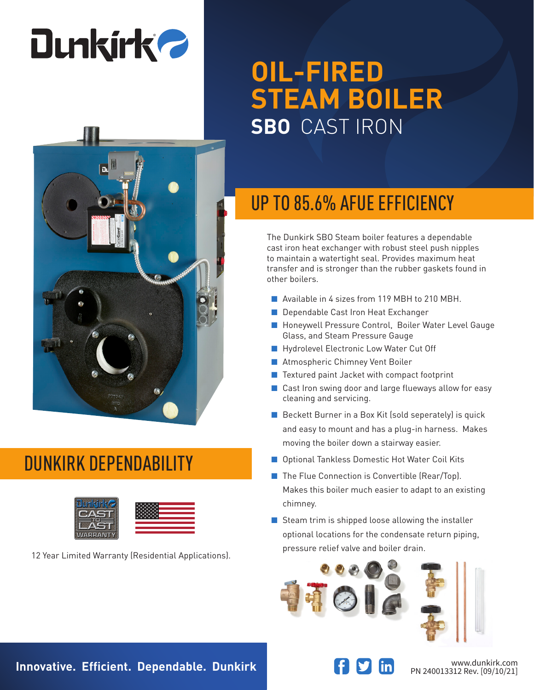# **Dunkirk 2**



#### DUNKIRK DEPENDABILITY



pressure relief valve and boiler drain. 12 Year Limited Warranty (Residential Applications).

## **OIL-FIRED STEAM BOILER SBO** CAST IRON

### UP TO 85.6% AFUE EFFICIENCY

The Dunkirk SBO Steam boiler features a dependable cast iron heat exchanger with robust steel push nipples to maintain a watertight seal. Provides maximum heat transfer and is stronger than the rubber gaskets found in other boilers.

- Available in 4 sizes from 119 MBH to 210 MBH.
- Dependable Cast Iron Heat Exchanger
- Honeywell Pressure Control, Boiler Water Level Gauge Glass, and Steam Pressure Gauge
- Hydrolevel Electronic Low Water Cut Off
- Atmospheric Chimney Vent Boiler
- Textured paint Jacket with compact footprint
- Cast Iron swing door and large flueways allow for easy cleaning and servicing.
- Beckett Burner in a Box Kit (sold seperately) is quick and easy to mount and has a plug-in harness. Makes moving the boiler down a stairway easier.
- Optional Tankless Domestic Hot Water Coil Kits
- The Flue Connection is Convertible (Rear/Top). Makes this boiler much easier to adapt to an existing chimney.
- Steam trim is shipped loose allowing the installer optional locations for the condensate return piping,





PN 240013312 Rev. [09/10/21]

**Innovative. Efficient. Dependable. Dunkirk Wave and South and Meridian Www.dunkirk.com**